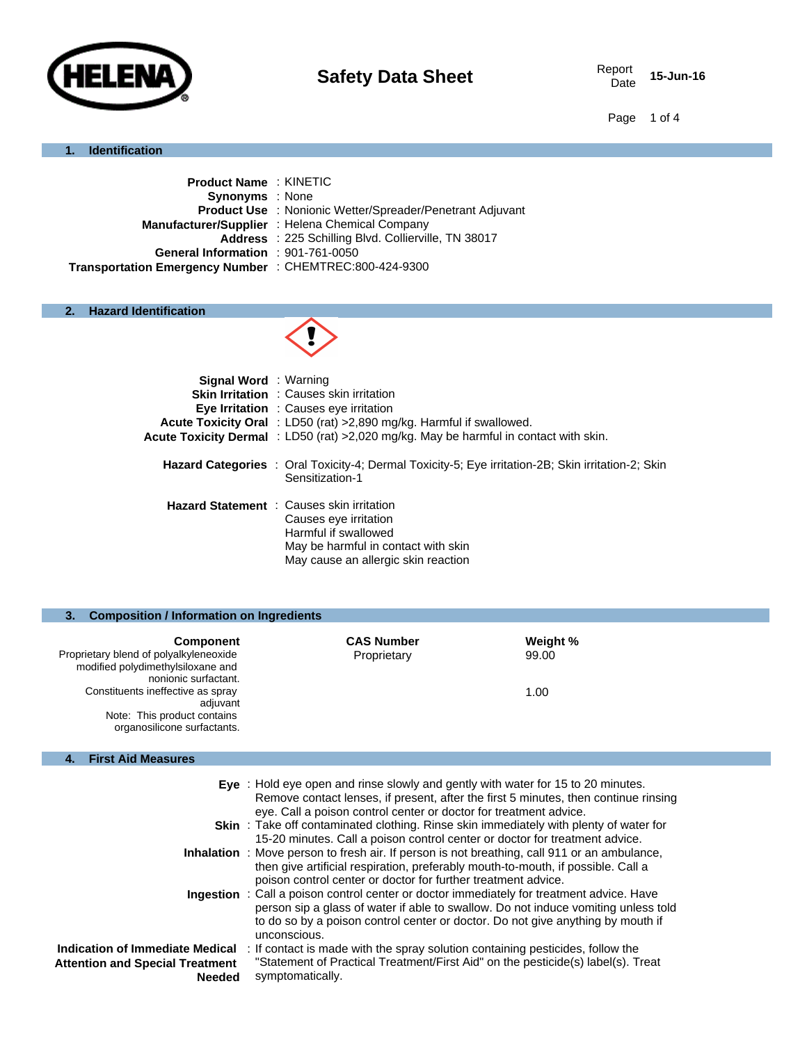

Date **15-Jun-16**

Page 1 of 4

### **1. Identification**

| <b>Product Name: KINETIC</b>                                     |
|------------------------------------------------------------------|
| <b>Synonyms</b> : None                                           |
| <b>Product Use</b> : Nonionic Wetter/Spreader/Penetrant Adjuvant |
| Manufacturer/Supplier : Helena Chemical Company                  |
| Address: 225 Schilling Blvd. Collierville, TN 38017              |
| General Information : 901-761-0050                               |
| Transportation Emergency Number : CHEMTREC:800-424-9300          |
|                                                                  |

# **2. Hazard Identification**



| <b>Signal Word</b> : Warning |                                                                                                                                                                                 |
|------------------------------|---------------------------------------------------------------------------------------------------------------------------------------------------------------------------------|
|                              | <b>Skin Irritation</b> : Causes skin irritation                                                                                                                                 |
|                              | <b>Eye Irritation</b> : Causes eye irritation                                                                                                                                   |
|                              | <b>Acute Toxicity Oral</b> : LD50 (rat) > 2,890 mg/kg. Harmful if swallowed.                                                                                                    |
|                              | Acute Toxicity Dermal : LD50 (rat) >2,020 mg/kg. May be harmful in contact with skin.                                                                                           |
|                              | <b>Hazard Categories</b> : Oral Toxicity-4; Dermal Toxicity-5; Eye irritation-2B; Skin irritation-2; Skin<br>Sensitization-1                                                    |
|                              | <b>Hazard Statement</b> : Causes skin irritation<br>Causes eye irritation<br>Harmful if swallowed<br>May be harmful in contact with skin<br>May cause an allergic skin reaction |

### **3. Composition / Information on Ingredients**

| <b>Component</b>                                          | <b>CAS Number</b> | Weight % |
|-----------------------------------------------------------|-------------------|----------|
| Proprietary blend of polyalkyleneoxide                    | Proprietary       | 99.00    |
| modified polydimethylsiloxane and<br>nonionic surfactant. |                   |          |
| Constituents ineffective as spray                         |                   | 1.00     |
| adjuvant<br>Note: This product contains                   |                   |          |
| organosilicone surfactants.                               |                   |          |

# **4. First Aid Measures**

|                                                                                            | Eye : Hold eye open and rinse slowly and gently with water for 15 to 20 minutes.<br>Remove contact lenses, if present, after the first 5 minutes, then continue rinsing<br>eye. Call a poison control center or doctor for treatment advice.                                              |
|--------------------------------------------------------------------------------------------|-------------------------------------------------------------------------------------------------------------------------------------------------------------------------------------------------------------------------------------------------------------------------------------------|
|                                                                                            | <b>Skin</b> : Take off contaminated clothing. Rinse skin immediately with plenty of water for<br>15-20 minutes. Call a poison control center or doctor for treatment advice.                                                                                                              |
|                                                                                            | <b>Inhalation</b> : Move person to fresh air. If person is not breathing, call 911 or an ambulance,<br>then give artificial respiration, preferably mouth-to-mouth, if possible. Call a<br>poison control center or doctor for further treatment advice.                                  |
|                                                                                            | <b>Ingestion</b> : Call a poison control center or doctor immediately for treatment advice. Have<br>person sip a glass of water if able to swallow. Do not induce vomiting unless told<br>to do so by a poison control center or doctor. Do not give anything by mouth if<br>unconscious. |
| Indication of Immediate Medical<br><b>Attention and Special Treatment</b><br><b>Needed</b> | : If contact is made with the spray solution containing pesticides, follow the<br>"Statement of Practical Treatment/First Aid" on the pesticide(s) label(s). Treat<br>symptomatically.                                                                                                    |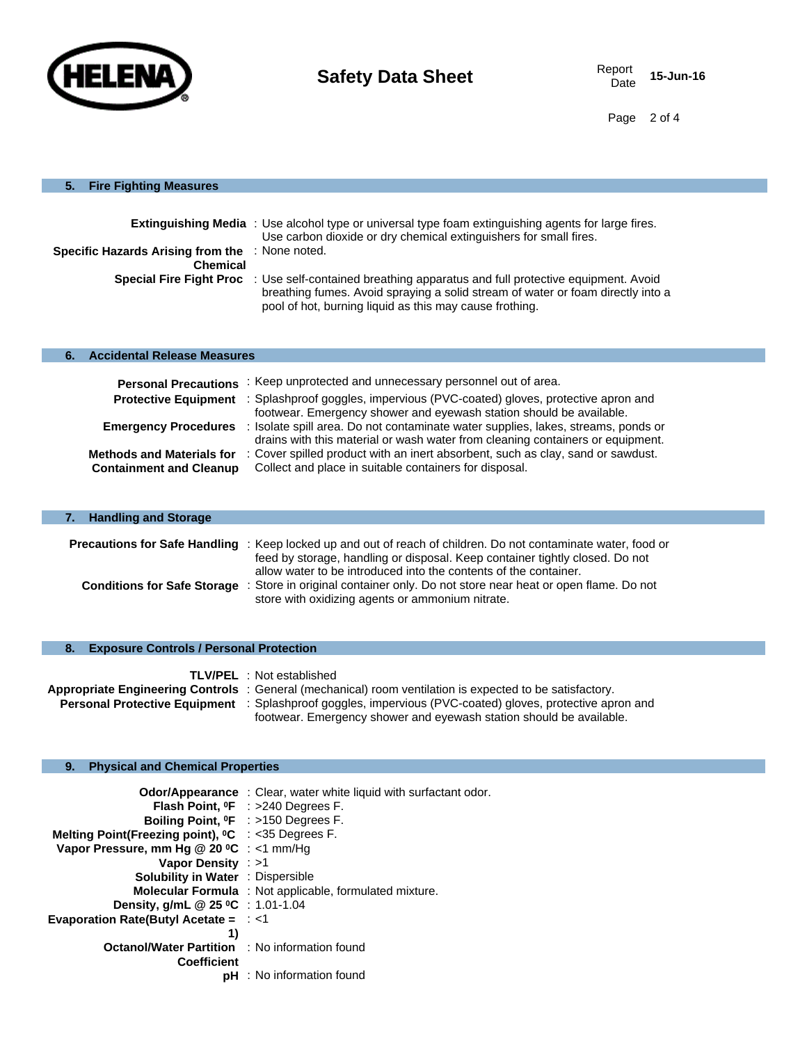

Date **15-Jun-16**

Page 2 of 4

### **5. Fire Fighting Measures**

| <b>Specific Hazards Arising from the : None noted.</b><br><b>Chemical</b> | <b>Extinguishing Media</b> : Use alcohol type or universal type foam extinguishing agents for large fires.<br>Use carbon dioxide or dry chemical extinguishers for small fires.<br><b>Special Fire Fight Proc</b> : Use self-contained breathing apparatus and full protective equipment. Avoid<br>breathing fumes. Avoid spraying a solid stream of water or foam directly into a<br>pool of hot, burning liquid as this may cause frothing. |
|---------------------------------------------------------------------------|-----------------------------------------------------------------------------------------------------------------------------------------------------------------------------------------------------------------------------------------------------------------------------------------------------------------------------------------------------------------------------------------------------------------------------------------------|
| <b>Accidental Release Measures</b><br>6.                                  |                                                                                                                                                                                                                                                                                                                                                                                                                                               |
| <b>Personal Precautions</b><br><b>Protective Equipment</b>                | : Keep unprotected and unnecessary personnel out of area.<br>: Splashproof goggles, impervious (PVC-coated) gloves, protective apron and<br>footwear. Emergency shower and eyewash station should be available.                                                                                                                                                                                                                               |
| <b>Emergency Procedures</b><br><b>Methods and Materials for</b>           | : Isolate spill area. Do not contaminate water supplies, lakes, streams, ponds or<br>drains with this material or wash water from cleaning containers or equipment.<br>: Cover spilled product with an inert absorbent, such as clay, sand or sawdust.                                                                                                                                                                                        |

| <b>Handling and Storage</b><br>7. |                                                                                                                                                                                                                                                                           |
|-----------------------------------|---------------------------------------------------------------------------------------------------------------------------------------------------------------------------------------------------------------------------------------------------------------------------|
|                                   | <b>Precautions for Safe Handling</b> : Keep locked up and out of reach of children. Do not contaminate water, food or<br>feed by storage, handling or disposal. Keep container tightly closed. Do not<br>allow water to be introduced into the contents of the container. |
|                                   | Conditions for Safe Storage : Store in original container only. Do not store near heat or open flame. Do not<br>store with oxidizing agents or ammonium nitrate.                                                                                                          |

### **8. Exposure Controls / Personal Protection**

|  | <b>TLV/PEL</b> : Not established                                                                                 |
|--|------------------------------------------------------------------------------------------------------------------|
|  | Appropriate Engineering Controls : General (mechanical) room ventilation is expected to be satisfactory.         |
|  | <b>Personal Protective Equipment</b> : Splashproof goggles, impervious (PVC-coated) gloves, protective apron and |
|  | footwear. Emergency shower and eyewash station should be available.                                              |

# **9. Physical and Chemical Properties**

|                                                                | <b>Odor/Appearance</b> : Clear, water white liquid with surfactant odor. |
|----------------------------------------------------------------|--------------------------------------------------------------------------|
|                                                                | <b>Flash Point, <math>{}^0F</math></b> : >240 Degrees F.                 |
|                                                                | Boiling Point, <sup>o</sup> F : >150 Degrees F.                          |
| Melting Point(Freezing point), <sup>o</sup> C : <35 Degrees F. |                                                                          |
| Vapor Pressure, mm Hg $@$ 20 °C : <1 mm/Hg                     |                                                                          |
| Vapor Density : >1                                             |                                                                          |
| <b>Solubility in Water : Dispersible</b>                       |                                                                          |
|                                                                | <b>Molecular Formula</b> : Not applicable, formulated mixture.           |
| Density, g/mL @ 25 °C : 1.01-1.04                              |                                                                          |
| Evaporation Rate(Butyl Acetate = $\div$ <1                     |                                                                          |
| 1)                                                             |                                                                          |
| <b>Octanol/Water Partition : No information found</b>          |                                                                          |
| <b>Coefficient</b>                                             |                                                                          |
|                                                                | pH : No information found                                                |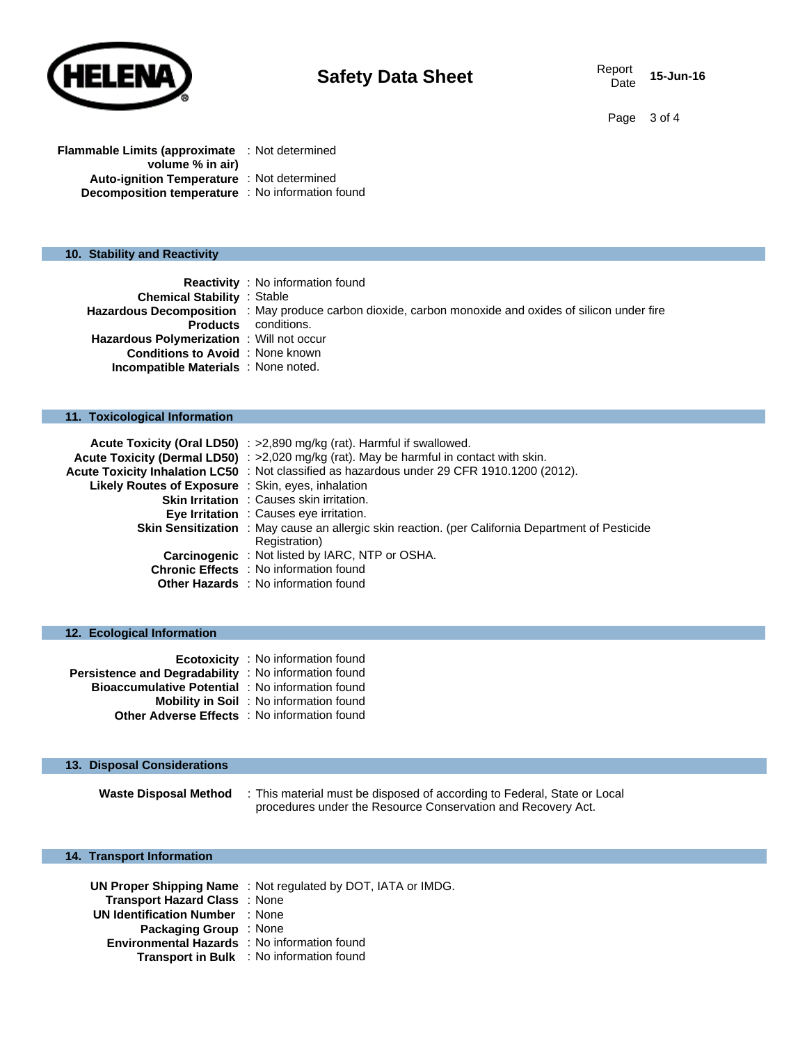

Page 3 of 4

| <b>Flammable Limits (approximate</b> : Not determined   |  |  |
|---------------------------------------------------------|--|--|
| volume % in air)                                        |  |  |
| <b>Auto-ignition Temperature</b> : Not determined       |  |  |
| <b>Decomposition temperature</b> : No information found |  |  |

#### **10. Stability and Reactivity**

|                                                  | <b>Reactivity</b> : No information found                                                               |
|--------------------------------------------------|--------------------------------------------------------------------------------------------------------|
| <b>Chemical Stability : Stable</b>               |                                                                                                        |
|                                                  | Hazardous Decomposition : May produce carbon dioxide, carbon monoxide and oxides of silicon under fire |
|                                                  | <b>Products</b> conditions.                                                                            |
| <b>Hazardous Polymerization</b> : Will not occur |                                                                                                        |
| <b>Conditions to Avoid</b> : None known          |                                                                                                        |
| <b>Incompatible Materials</b> : None noted.      |                                                                                                        |

#### **11. Toxicological Information**

|                                                           | Acute Toxicity (Oral LD50) : >2,890 mg/kg (rat). Harmful if swallowed.                            |
|-----------------------------------------------------------|---------------------------------------------------------------------------------------------------|
|                                                           | Acute Toxicity (Dermal LD50) : >2,020 mg/kg (rat). May be harmful in contact with skin.           |
|                                                           | Acute Toxicity Inhalation LC50 : Not classified as hazardous under 29 CFR 1910.1200 (2012).       |
| <b>Likely Routes of Exposure</b> : Skin, eyes, inhalation |                                                                                                   |
|                                                           | <b>Skin Irritation</b> : Causes skin irritation.                                                  |
|                                                           | Eye Irritation : Causes eye irritation.                                                           |
|                                                           | Skin Sensitization : May cause an allergic skin reaction. (per California Department of Pesticide |
|                                                           | Registration)                                                                                     |
|                                                           | <b>Carcinogenic</b> : Not listed by IARC, NTP or OSHA.                                            |
|                                                           | <b>Chronic Effects</b> : No information found                                                     |
|                                                           | Other Hazards : No information found                                                              |

### **12. Ecological Information**

|                                                         | <b>Ecotoxicity</b> : No information found      |
|---------------------------------------------------------|------------------------------------------------|
| Persistence and Degradability : No information found    |                                                |
| <b>Bioaccumulative Potential</b> : No information found |                                                |
|                                                         | <b>Mobility in Soil</b> : No information found |
| <b>Other Adverse Effects</b> : No information found     |                                                |

### **13. Disposal Considerations**

**Waste Disposal Method** : This material must be disposed of according to Federal, State or Local procedures under the Resource Conservation and Recovery Act.

### **14. Transport Information**

|                                                     | UN Proper Shipping Name: Not regulated by DOT, IATA or IMDG. |
|-----------------------------------------------------|--------------------------------------------------------------|
| Transport Hazard Class: None                        |                                                              |
| <b>UN Identification Number : None</b>              |                                                              |
| <b>Packaging Group</b> : None                       |                                                              |
| <b>Environmental Hazards</b> : No information found |                                                              |
|                                                     | <b>Transport in Bulk</b> : No information found              |